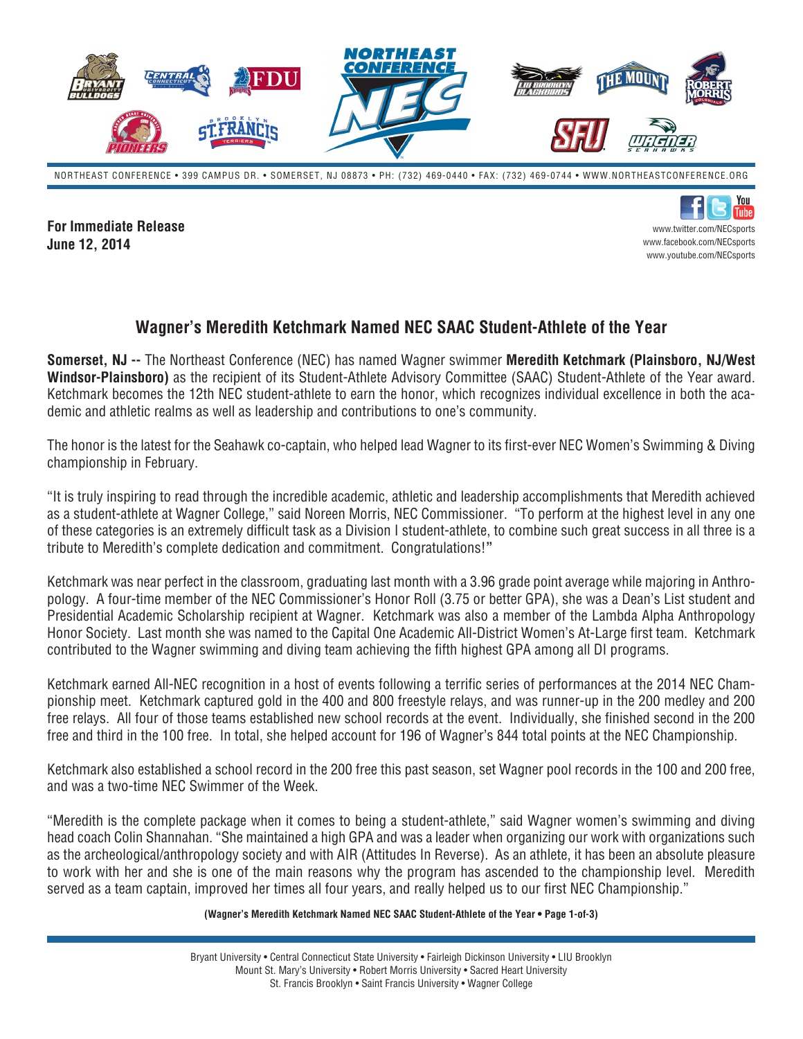

NORTHEAST CONFERENCE • 399 CAMPUS DR. • SOMERSET, NJ 08873 • PH: (732) 469-0440 • FAX: (732) 469-0744 • WWW.NORTHEASTCONFERENCE.ORG

**For Immediate Release June 12, 2014**

You |Tuhe www.twitter.com/NECsports www.facebook.com/NECsports www.youtube.com/NECsports

## **Wagner's Meredith Ketchmark Named NEC SAAC Student-Athlete of the Year**

**Somerset, NJ --** The Northeast Conference (NEC) has named Wagner swimmer **Meredith Ketchmark (Plainsboro, NJ/West Windsor-Plainsboro)** as the recipient of its Student-Athlete Advisory Committee (SAAC) Student-Athlete of the Year award. Ketchmark becomes the 12th NEC student-athlete to earn the honor, which recognizes individual excellence in both the academic and athletic realms as well as leadership and contributions to one's community.

The honor is the latest for the Seahawk co-captain, who helped lead Wagner to its first-ever NEC Women's Swimming & Diving championship in February.

"It is truly inspiring to read through the incredible academic, athletic and leadership accomplishments that Meredith achieved as a student-athlete at Wagner College," said Noreen Morris, NEC Commissioner. "To perform at the highest level in any one of these categories is an extremely difficult task as a Division I student-athlete, to combine such great success in all three is a tribute to Meredith's complete dedication and commitment. Congratulations!**"**

Ketchmark was near perfect in the classroom, graduating last month with a 3.96 grade point average while majoring in Anthropology. A four-time member of the NEC Commissioner's Honor Roll (3.75 or better GPA), she was a Dean's List student and Presidential Academic Scholarship recipient at Wagner. Ketchmark was also a member of the Lambda Alpha Anthropology Honor Society. Last month she was named to the Capital One Academic All-District Women's At-Large first team. Ketchmark contributed to the Wagner swimming and diving team achieving the fifth highest GPA among all DI programs.

Ketchmark earned All-NEC recognition in a host of events following a terrific series of performances at the 2014 NEC Championship meet. Ketchmark captured gold in the 400 and 800 freestyle relays, and was runner-up in the 200 medley and 200 free relays. All four of those teams established new school records at the event. Individually, she finished second in the 200 free and third in the 100 free. In total, she helped account for 196 of Wagner's 844 total points at the NEC Championship.

Ketchmark also established a school record in the 200 free this past season, set Wagner pool records in the 100 and 200 free, and was a two-time NEC Swimmer of the Week.

"Meredith is the complete package when it comes to being a student-athlete," said Wagner women's swimming and diving head coach Colin Shannahan. "She maintained a high GPA and was a leader when organizing our work with organizations such as the archeological/anthropology society and with AIR (Attitudes In Reverse). As an athlete, it has been an absolute pleasure to work with her and she is one of the main reasons why the program has ascended to the championship level. Meredith served as a team captain, improved her times all four years, and really helped us to our first NEC Championship."

## **(Wagner's Meredith Ketchmark Named NEC SAAC Student-Athlete of the Year • Page 1-of-3)**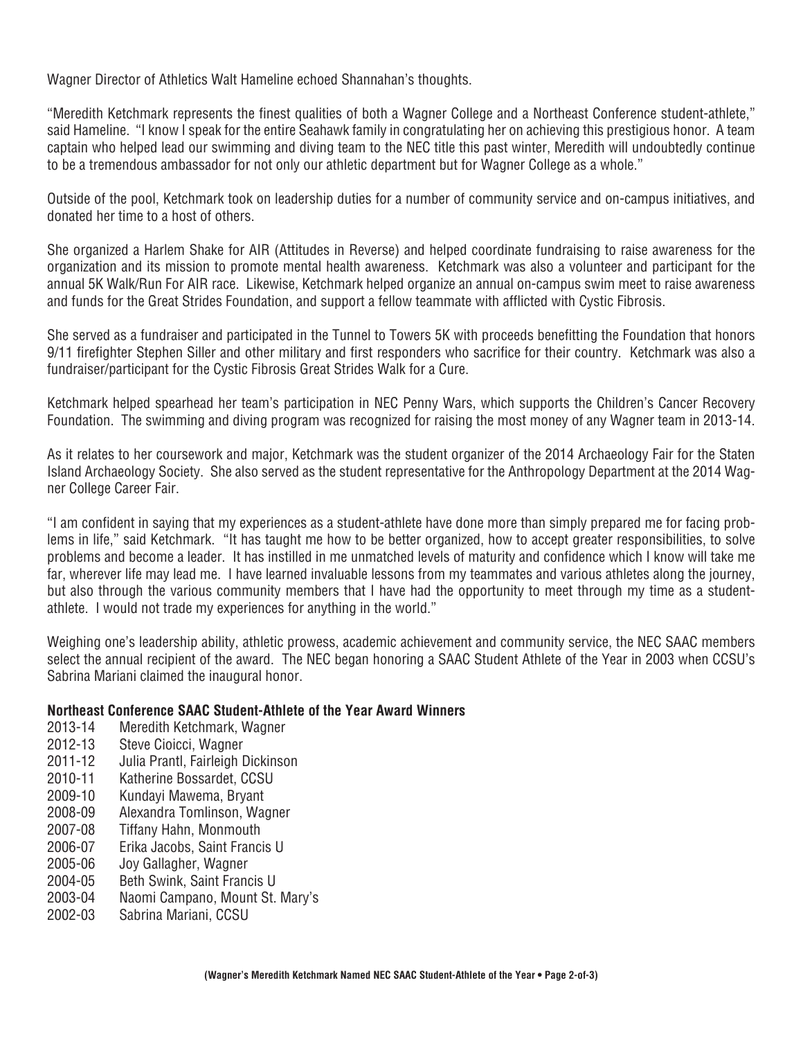Wagner Director of Athletics Walt Hameline echoed Shannahan's thoughts.

"Meredith Ketchmark represents the finest qualities of both a Wagner College and a Northeast Conference student-athlete," said Hameline. "I know I speak for the entire Seahawk family in congratulating her on achieving this prestigious honor. A team captain who helped lead our swimming and diving team to the NEC title this past winter, Meredith will undoubtedly continue to be a tremendous ambassador for not only our athletic department but for Wagner College as a whole."

Outside of the pool, Ketchmark took on leadership duties for a number of community service and on-campus initiatives, and donated her time to a host of others.

She organized a Harlem Shake for AIR (Attitudes in Reverse) and helped coordinate fundraising to raise awareness for the organization and its mission to promote mental health awareness. Ketchmark was also a volunteer and participant for the annual 5K Walk/Run For AIR race. Likewise, Ketchmark helped organize an annual on-campus swim meet to raise awareness and funds for the Great Strides Foundation, and support a fellow teammate with afflicted with Cystic Fibrosis.

She served as a fundraiser and participated in the Tunnel to Towers 5K with proceeds benefitting the Foundation that honors 9/11 firefighter Stephen Siller and other military and first responders who sacrifice for their country. Ketchmark was also a fundraiser/participant for the Cystic Fibrosis Great Strides Walk for a Cure.

Ketchmark helped spearhead her team's participation in NEC Penny Wars, which supports the Children's Cancer Recovery Foundation. The swimming and diving program was recognized for raising the most money of any Wagner team in 2013-14.

As it relates to her coursework and major, Ketchmark was the student organizer of the 2014 Archaeology Fair for the Staten Island Archaeology Society. She also served as the student representative for the Anthropology Department at the 2014 Wagner College Career Fair.

"I am confident in saying that my experiences as a student-athlete have done more than simply prepared me for facing problems in life," said Ketchmark. "It has taught me how to be better organized, how to accept greater responsibilities, to solve problems and become a leader. It has instilled in me unmatched levels of maturity and confidence which I know will take me far, wherever life may lead me. I have learned invaluable lessons from my teammates and various athletes along the journey, but also through the various community members that I have had the opportunity to meet through my time as a studentathlete. I would not trade my experiences for anything in the world."

Weighing one's leadership ability, athletic prowess, academic achievement and community service, the NEC SAAC members select the annual recipient of the award. The NEC began honoring a SAAC Student Athlete of the Year in 2003 when CCSU's Sabrina Mariani claimed the inaugural honor.

## **Northeast Conference SAAC Student-Athlete of the Year Award Winners**

- 2013-14 Meredith Ketchmark, Wagner
- 2012-13 Steve Cioicci, Wagner
- 2011-12 Julia Prantl, Fairleigh Dickinson
- 2010-11 Katherine Bossardet, CCSU
- 2009-10 Kundayi Mawema, Bryant
- 2008-09 Alexandra Tomlinson, Wagner
- 2007-08 Tiffany Hahn, Monmouth
- 2006-07 Erika Jacobs, Saint Francis U
- 2005-06 Joy Gallagher, Wagner
- 2004-05 Beth Swink, Saint Francis U
- 2003-04 Naomi Campano, Mount St. Mary's
- 2002-03 Sabrina Mariani, CCSU